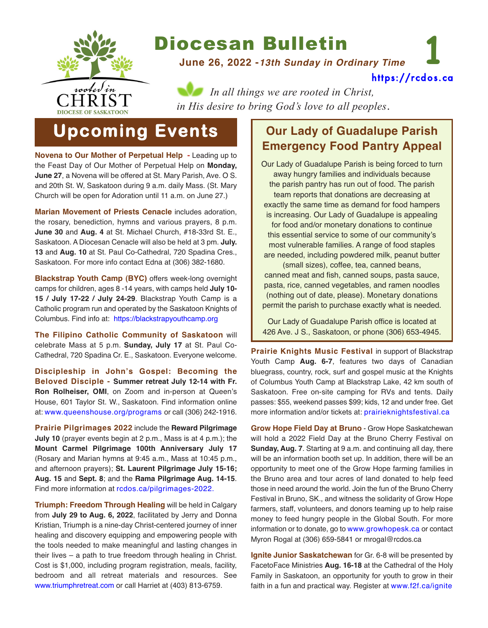

# Diocesan Bulletin

**June 26, 2022 -***13th Sunday in Ordinary Time*

**1** [https://rcdos.ca](https://rcdos.ca/)

*In all things we are rooted in Christ, in His desire to bring God's love to all peoples*.

# **Upcoming Events**

**Novena to Our Mother of Perpetual Help -** Leading up to the Feast Day of Our Mother of Perpetual Help on **Monday, June 27**, a Novena will be offered at St. Mary Parish, Ave. O S. and 20th St. W, Saskatoon during 9 a.m. daily Mass. (St. Mary Church will be open for Adoration until 11 a.m. on June 27.)

**Marian Movement of Priests Cenacle** includes adoration, the rosary, benediction, hymns and various prayers, 8 p.m. **June 30** and **Aug. 4** at St. Michael Church, #18-33rd St. E., Saskatoon. A Diocesan Cenacle will also be held at 3 pm. **July. 13** and **Aug. 10** at St. Paul Co-Cathedral, 720 Spadina Cres., Saskatoon. For more info contact Edna at (306) 382-1680.

**Blackstrap Youth Camp (BYC)** offers week-long overnight camps for children, ages 8 -14 years, with camps held **July 10- 15 / July 17-22 / July 24-29**. Blackstrap Youth Camp is a Catholic program run and operated by the Saskatoon Knights of Columbus. Find info at: [https://blackstrapyouthcamp.org](https://blackstrapyouthcamp.org/)

**The Filipino Catholic Community of Saskatoon** will celebrate Mass at 5 p.m. **Sunday, July 17** at St. Paul Co-Cathedral, 720 Spadina Cr. E., Saskatoon. Everyone welcome.

**Discipleship in John's Gospel: Becoming the Beloved Disciple - Summer retreat July 12-14 with Fr. Ron Rolheiser, OMI**, on Zoom and in-person at Queen's House, 601 Taylor St. W., Saskatoon. Find information online at: [www.queenshouse.org/programs](https://www.queenshouse.org/programs/) or call (306) 242-1916.

**Prairie Pilgrimages 2022** include the **Reward Pilgrimage July 10** (prayer events begin at 2 p.m., Mass is at 4 p.m.); the **Mount Carmel Pilgrimage 100th Anniversary July 17** (Rosary and Marian hymns at 9:45 a.m., Mass at 10:45 p.m., and afternoon prayers); **St. Laurent Pilgrimage July 15-16; Aug. 15** and **Sept. 8**; and the **Rama Pilgrimage Aug. 14-15**. Find more information at [rcdos.ca/pilgrimages-2022.](https://rcdos.ca/pilgrimages-2022/)

**Triumph: Freedom Through Healing** will be held in Calgary from **July 29 to Aug. 6, 2022**, facilitated by Jerry and Donna Kristian, Triumph is a nine-day Christ-centered journey of inner healing and discovery equipping and empowering people with the tools needed to make meaningful and lasting changes in their lives – a path to true freedom through healing in Christ. Cost is \$1,000, including program registration, meals, facility, bedroom and all retreat materials and resources. See [www.triumphretreat.com](http://www.triumphretreat.com) or call Harriet at (403) 813-6759.

## **Our Lady of Guadalupe Parish Emergency Food Pantry Appeal**

Our Lady of Guadalupe Parish is being forced to turn away hungry families and individuals because the parish pantry has run out of food. The parish team reports that donations are decreasing at exactly the same time as demand for food hampers is increasing. Our Lady of Guadalupe is appealing for food and/or monetary donations to continue this essential service to some of our community's most vulnerable families. A range of food staples are needed, including powdered milk, peanut butter (small sizes), coffee, tea, canned beans, canned meat and fish, canned soups, pasta sauce, pasta, rice, canned vegetables, and ramen noodles

(nothing out of date, please). Monetary donations permit the parish to purchase exactly what is needed.

Our Lady of Guadalupe Parish office is located at 426 Ave. J S., Saskatoon, or phone (306) 653-4945.

**Prairie Knights Music Festival** in support of Blackstrap Youth Camp **Aug. 6-7**, features two days of Canadian bluegrass, country, rock, surf and gospel music at the Knights of Columbus Youth Camp at Blackstrap Lake, 42 km south of Saskatoon. Free on-site camping for RVs and tents. Daily passes: \$55, weekend passes \$99; kids, 12 and under free. Get more information and/or tickets at: [prairieknightsfestival.ca](https://prairieknightsfestival.ca/)

**Grow Hope Field Day at Bruno** - Grow Hope Saskatchewan will hold a 2022 Field Day at the Bruno Cherry Festival on **Sunday, Aug. 7**. Starting at 9 a.m. and continuing all day, there will be an information booth set up. In addition, there will be an opportunity to meet one of the Grow Hope farming families in the Bruno area and tour acres of land donated to help feed those in need around the world. Join the fun of the Bruno Cherry Festival in Bruno, SK., and witness the solidarity of Grow Hope farmers, staff, volunteers, and donors teaming up to help raise money to feed hungry people in the Global South. For more information or to donate, go to [www.growhopesk.ca](https://www.growhopesk.ca/) or contact Myron Rogal at (306) 659-5841 or mrogal@rcdos.ca

**Ignite Junior Saskatchewan** for Gr. 6-8 will be presented by FacetoFace Ministries **Aug. 16-18** at the Cathedral of the Holy Family in Saskatoon, an opportunity for youth to grow in their faith in a fun and practical way. Register at [www.f2f.ca/ignite](https://www.f2f.ca/ignite)